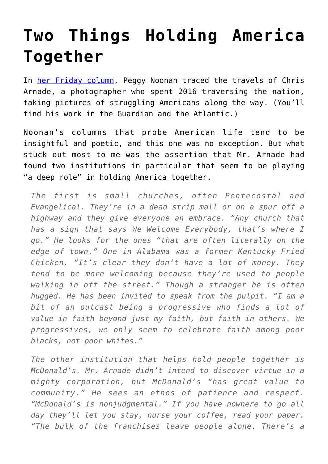## **[Two Things Holding America](https://intellectualtakeout.org/2016/12/two-things-holding-america-together/) [Together](https://intellectualtakeout.org/2016/12/two-things-holding-america-together/)**

In [her Friday column](http://www.wsj.com/articles/shining-a-light-on-back-row-america-1483056652), Peggy Noonan traced the travels of Chris Arnade, a photographer who spent 2016 traversing the nation, taking pictures of struggling Americans along the way. (You'll find his work in the Guardian and the Atlantic.)

Noonan's columns that probe American life tend to be insightful and poetic, and this one was no exception. But what stuck out most to me was the assertion that Mr. Arnade had found two institutions in particular that seem to be playing "a deep role" in holding America together.

*The first is small churches, often Pentecostal and Evangelical. They're in a dead strip mall or on a spur off a highway and they give everyone an embrace. "Any church that has a sign that says We Welcome Everybody, that's where I go." He looks for the ones "that are often literally on the edge of town." One in Alabama was a former Kentucky Fried Chicken. "It's clear they don't have a lot of money. They tend to be more welcoming because they're used to people walking in off the street." Though a stranger he is often hugged. He has been invited to speak from the pulpit. "I am a bit of an outcast being a progressive who finds a lot of value in faith beyond just my faith, but faith in others. We progressives, we only seem to celebrate faith among poor blacks, not poor whites."*

*The other institution that helps hold people together is McDonald's. Mr. Arnade didn't intend to discover virtue in a mighty corporation, but McDonald's "has great value to community." He sees an ethos of patience and respect. "McDonald's is nonjudgmental." If you have nowhere to go all day they'll let you stay, nurse your coffee, read your paper. "The bulk of the franchises leave people alone. There's a*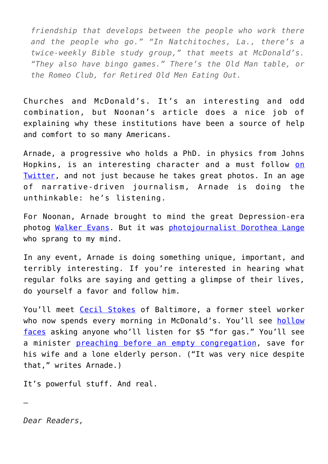*friendship that develops between the people who work there and the people who go." "In Natchitoches, La., there's a twice-weekly Bible study group," that meets at McDonald's. "They also have bingo games." There's the Old Man table, or the Romeo Club, for Retired Old Men Eating Out.*

Churches and McDonald's. It's an interesting and odd combination, but Noonan's article does a nice job of explaining why these institutions have been a source of help and comfort to so many Americans.

Arnade, a progressive who holds a PhD. in physics from Johns Hopkins, is an interesting character and a must follow [on](https://twitter.com/Chris_arnade?ref_src=twsrc%5Egoogle%7Ctwcamp%5Eserp%7Ctwgr%5Eauthor) [Twitter,](https://twitter.com/Chris_arnade?ref_src=twsrc%5Egoogle%7Ctwcamp%5Eserp%7Ctwgr%5Eauthor) and not just because he takes great photos. In an age of narrative-driven journalism, Arnade is doing the unthinkable: he's listening.

For Noonan, Arnade brought to mind the great Depression-era photog [Walker Evans.](https://en.wikipedia.org/wiki/Walker_Evans) But it was [photojournalist Dorothea Lange](https://en.wikipedia.org/wiki/Dorothea_Lange) who sprang to my mind.

In any event, Arnade is doing something unique, important, and terribly interesting. If you're interested in hearing what regular folks are saying and getting a glimpse of their lives, do yourself a favor and follow him.

You'll meet [Cecil Stokes](https://twitter.com/Chris_arnade?ref_src=twsrc%5Egoogle%7Ctwcamp%5Eserp%7Ctwgr%5Eauthor) of Baltimore, a former steel worker who now spends every morning in McDonald's. You'll see [hollow](https://twitter.com/Chris_arnade?ref_src=twsrc%5Egoogle%7Ctwcamp%5Eserp%7Ctwgr%5Eauthor) [faces](https://twitter.com/Chris_arnade?ref_src=twsrc%5Egoogle%7Ctwcamp%5Eserp%7Ctwgr%5Eauthor) asking anyone who'll listen for \$5 "for gas." You'll see a minister [preaching before an empty congregation,](https://twitter.com/Chris_arnade/status/813083980127944704) save for his wife and a lone elderly person. ("It was very nice despite that," writes Arnade.)

It's powerful stuff. And real.

*Dear Readers,*

—